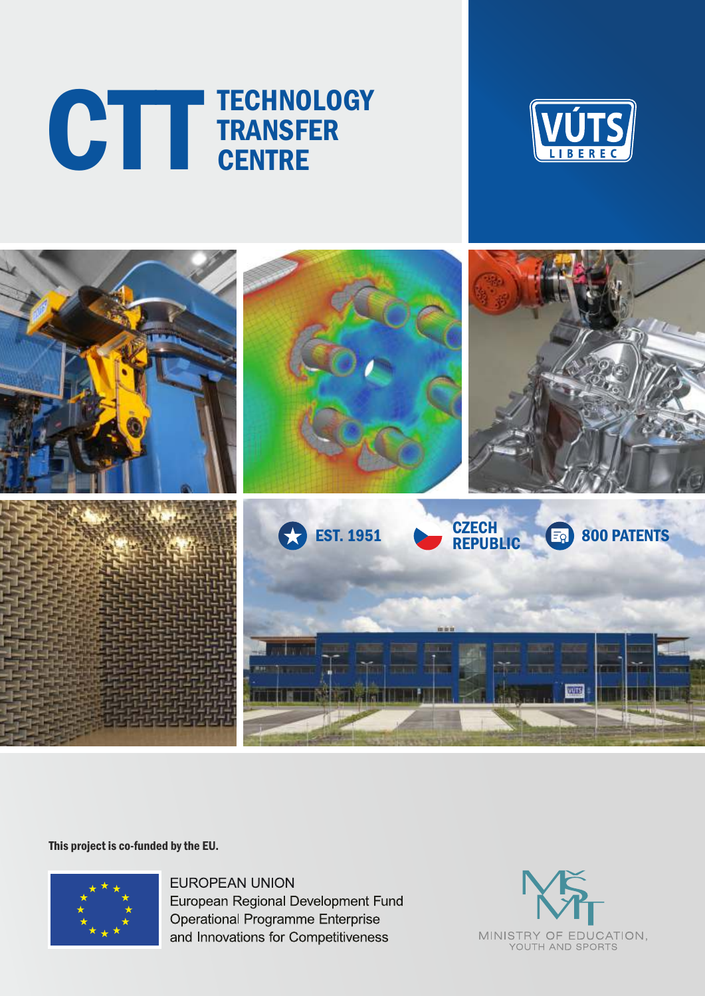# TECHNOLOGY CTTT TECHNOLO





This project is co-funded by the EU.



**EUROPEAN UNION** European Regional Development Fund **Operational Programme Enterprise** and Innovations for Competitiveness

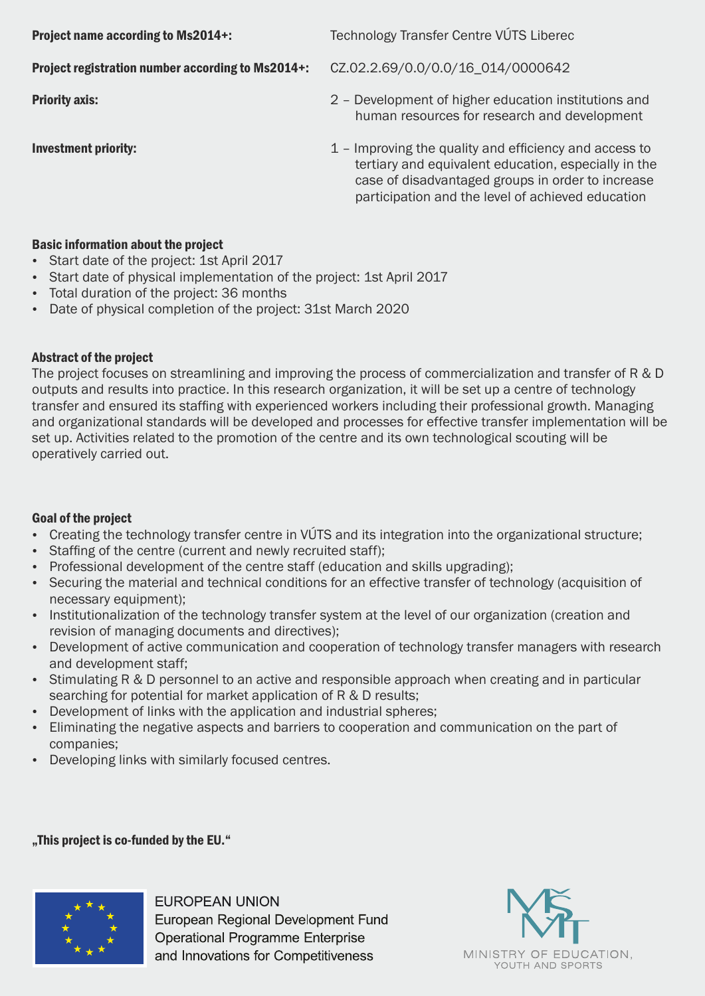**Project name according to Ms2014+:** Technology Transfer Centre VÚTS Liberec Project registration number according to Ms2014+: CZ.02.2.69/0.0/0.0/16\_014/0000642 **Priority axis:** 2 – Development of higher education institutions and human resources for research and development Investment priority: 1 – Improving the quality and efficiency and access to tertiary and equivalent education, especially in the case of disadvantaged groups in order to increase participation and the level of achieved education

### Basic information about the project

- Start date of the project: 1st April 2017
- Start date of physical implementation of the project: 1st April 2017
- Total duration of the project: 36 months
- Date of physical completion of the project: 31st March 2020

### Abstract of the project

The project focuses on streamlining and improving the process of commercialization and transfer of R & D outputs and results into practice. In this research organization, it will be set up a centre of technology transfer and ensured its staffing with experienced workers including their professional growth. Managing and organizational standards will be developed and processes for effective transfer implementation will be set up. Activities related to the promotion of the centre and its own technological scouting will be operatively carried out.

### Goal of the project

- Creating the technology transfer centre in VÚTS and its integration into the organizational structure;
- Staffing of the centre (current and newly recruited staff);
- Professional development of the centre staff (education and skills upgrading);
- Securing the material and technical conditions for an effective transfer of technology (acquisition of necessary equipment);
- Institutionalization of the technology transfer system at the level of our organization (creation and revision of managing documents and directives);
- Development of active communication and cooperation of technology transfer managers with research and development staff;
- Stimulating R & D personnel to an active and responsible approach when creating and in particular searching for potential for market application of R & D results;
- Development of links with the application and industrial spheres;
- Eliminating the negative aspects and barriers to cooperation and communication on the part of companies;
- Developing links with similarly focused centres.

### "This project is co-funded by the EU."



**FUROPFAN UNION** European Regional Development Fund **Operational Programme Enterprise** and Innovations for Competitiveness

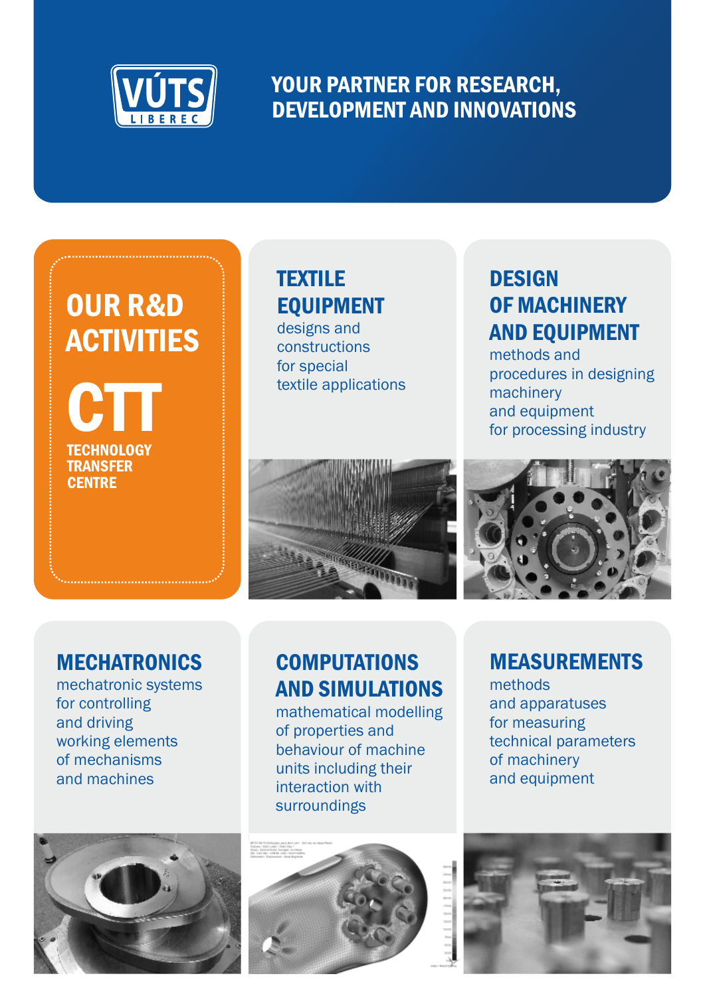

## YOUR PARTNER FOR RESEARCH, DEVELOPMENT AND INNOVATIONS

## OUR R&D **ACTIVITIES**

**TECHNOLOGY TRANSFER CENTRE** CTT

## **TEXTILE** EQUIPMENT

designs and constructions for special textile applications

## **DESIGN** OF MACHINERY AND EQUIPMENT

methods and procedures in designing machinery and equipment for processing industry





### **MECHATRONICS**

mechatronic systems for controlling and driving working elements of mechanisms and machines



## **COMPUTATIONS** AND SIMULATIONS

mathematical modelling of properties and behaviour of machine units including their interaction with surroundings

### MEASUREMENTS

methods and apparatuses for measuring technical parameters of machinery and equipment